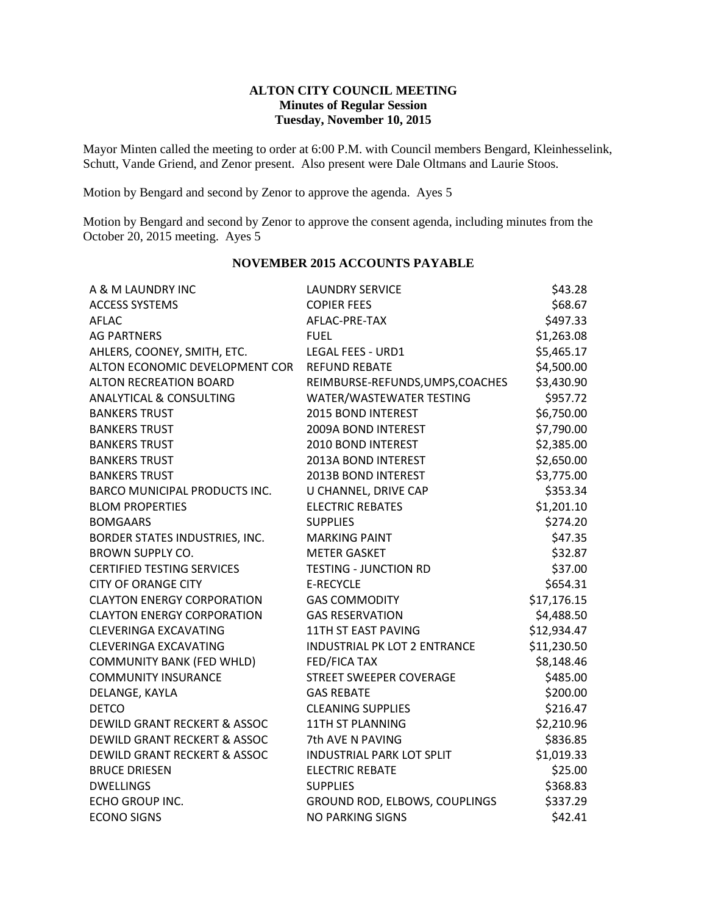#### **ALTON CITY COUNCIL MEETING Minutes of Regular Session Tuesday, November 10, 2015**

Mayor Minten called the meeting to order at 6:00 P.M. with Council members Bengard, Kleinhesselink, Schutt, Vande Griend, and Zenor present. Also present were Dale Oltmans and Laurie Stoos.

Motion by Bengard and second by Zenor to approve the agenda. Ayes 5

Motion by Bengard and second by Zenor to approve the consent agenda, including minutes from the October 20, 2015 meeting. Ayes 5

| A & M LAUNDRY INC                       | <b>LAUNDRY SERVICE</b>              | \$43.28     |
|-----------------------------------------|-------------------------------------|-------------|
| <b>ACCESS SYSTEMS</b>                   | <b>COPIER FEES</b>                  | \$68.67     |
| <b>AFLAC</b>                            | AFLAC-PRE-TAX                       | \$497.33    |
| <b>AG PARTNERS</b>                      | <b>FUEL</b>                         | \$1,263.08  |
| AHLERS, COONEY, SMITH, ETC.             | <b>LEGAL FEES - URD1</b>            | \$5,465.17  |
| ALTON ECONOMIC DEVELOPMENT COR          | <b>REFUND REBATE</b>                | \$4,500.00  |
| <b>ALTON RECREATION BOARD</b>           | REIMBURSE-REFUNDS, UMPS, COACHES    | \$3,430.90  |
| <b>ANALYTICAL &amp; CONSULTING</b>      | WATER/WASTEWATER TESTING            | \$957.72    |
| <b>BANKERS TRUST</b>                    | 2015 BOND INTEREST                  | \$6,750.00  |
| <b>BANKERS TRUST</b>                    | 2009A BOND INTEREST                 | \$7,790.00  |
| <b>BANKERS TRUST</b>                    | 2010 BOND INTEREST                  | \$2,385.00  |
| <b>BANKERS TRUST</b>                    | 2013A BOND INTEREST                 | \$2,650.00  |
| <b>BANKERS TRUST</b>                    | 2013B BOND INTEREST                 | \$3,775.00  |
| <b>BARCO MUNICIPAL PRODUCTS INC.</b>    | U CHANNEL, DRIVE CAP                | \$353.34    |
| <b>BLOM PROPERTIES</b>                  | <b>ELECTRIC REBATES</b>             | \$1,201.10  |
| <b>BOMGAARS</b>                         | <b>SUPPLIES</b>                     | \$274.20    |
| BORDER STATES INDUSTRIES, INC.          | <b>MARKING PAINT</b>                | \$47.35     |
| <b>BROWN SUPPLY CO.</b>                 | <b>METER GASKET</b>                 | \$32.87     |
| <b>CERTIFIED TESTING SERVICES</b>       | <b>TESTING - JUNCTION RD</b>        | \$37.00     |
| <b>CITY OF ORANGE CITY</b>              | <b>E-RECYCLE</b>                    | \$654.31    |
| <b>CLAYTON ENERGY CORPORATION</b>       | <b>GAS COMMODITY</b>                | \$17,176.15 |
| <b>CLAYTON ENERGY CORPORATION</b>       | <b>GAS RESERVATION</b>              | \$4,488.50  |
| <b>CLEVERINGA EXCAVATING</b>            | 11TH ST EAST PAVING                 | \$12,934.47 |
| <b>CLEVERINGA EXCAVATING</b>            | <b>INDUSTRIAL PK LOT 2 ENTRANCE</b> | \$11,230.50 |
| <b>COMMUNITY BANK (FED WHLD)</b>        | <b>FED/FICA TAX</b>                 | \$8,148.46  |
| <b>COMMUNITY INSURANCE</b>              | STREET SWEEPER COVERAGE             | \$485.00    |
| DELANGE, KAYLA                          | <b>GAS REBATE</b>                   | \$200.00    |
| <b>DETCO</b>                            | <b>CLEANING SUPPLIES</b>            | \$216.47    |
| <b>DEWILD GRANT RECKERT &amp; ASSOC</b> | <b>11TH ST PLANNING</b>             | \$2,210.96  |
| <b>DEWILD GRANT RECKERT &amp; ASSOC</b> | 7th AVE N PAVING                    | \$836.85    |
| <b>DEWILD GRANT RECKERT &amp; ASSOC</b> | <b>INDUSTRIAL PARK LOT SPLIT</b>    | \$1,019.33  |
| <b>BRUCE DRIESEN</b>                    | <b>ELECTRIC REBATE</b>              | \$25.00     |
| <b>DWELLINGS</b>                        | <b>SUPPLIES</b>                     | \$368.83    |
| <b>ECHO GROUP INC.</b>                  | GROUND ROD, ELBOWS, COUPLINGS       | \$337.29    |
| <b>ECONO SIGNS</b>                      | <b>NO PARKING SIGNS</b>             | \$42.41     |

#### **NOVEMBER 2015 ACCOUNTS PAYABLE**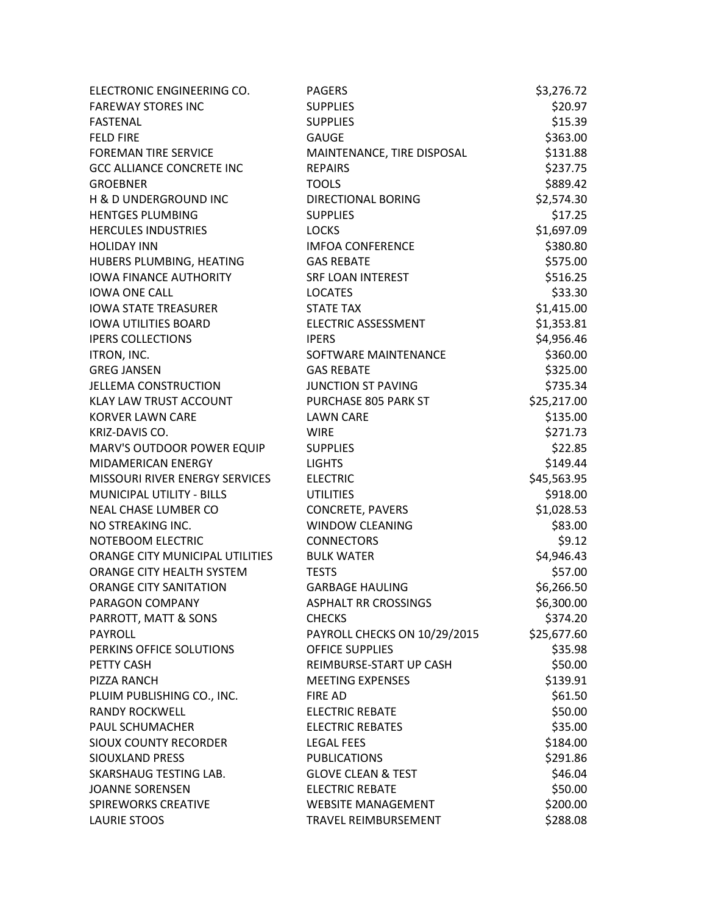| ELECTRONIC ENGINEERING CO.       | <b>PAGERS</b>                 | \$3,276.72  |
|----------------------------------|-------------------------------|-------------|
| <b>FAREWAY STORES INC</b>        | <b>SUPPLIES</b>               | \$20.97     |
| FASTENAL                         | <b>SUPPLIES</b>               | \$15.39     |
| <b>FELD FIRE</b>                 | <b>GAUGE</b>                  | \$363.00    |
| <b>FOREMAN TIRE SERVICE</b>      | MAINTENANCE, TIRE DISPOSAL    | \$131.88    |
| <b>GCC ALLIANCE CONCRETE INC</b> | <b>REPAIRS</b>                | \$237.75    |
| <b>GROEBNER</b>                  | <b>TOOLS</b>                  | \$889.42    |
| H & D UNDERGROUND INC            | <b>DIRECTIONAL BORING</b>     | \$2,574.30  |
| <b>HENTGES PLUMBING</b>          | <b>SUPPLIES</b>               | \$17.25     |
| <b>HERCULES INDUSTRIES</b>       | <b>LOCKS</b>                  | \$1,697.09  |
| <b>HOLIDAY INN</b>               | <b>IMFOA CONFERENCE</b>       | \$380.80    |
| HUBERS PLUMBING, HEATING         | <b>GAS REBATE</b>             | \$575.00    |
| <b>IOWA FINANCE AUTHORITY</b>    | <b>SRF LOAN INTEREST</b>      | \$516.25    |
| <b>IOWA ONE CALL</b>             | <b>LOCATES</b>                | \$33.30     |
| <b>IOWA STATE TREASURER</b>      | <b>STATE TAX</b>              | \$1,415.00  |
| <b>IOWA UTILITIES BOARD</b>      | <b>ELECTRIC ASSESSMENT</b>    | \$1,353.81  |
| <b>IPERS COLLECTIONS</b>         | <b>IPERS</b>                  | \$4,956.46  |
| ITRON, INC.                      | SOFTWARE MAINTENANCE          | \$360.00    |
| <b>GREG JANSEN</b>               | <b>GAS REBATE</b>             | \$325.00    |
| <b>JELLEMA CONSTRUCTION</b>      | <b>JUNCTION ST PAVING</b>     | \$735.34    |
| <b>KLAY LAW TRUST ACCOUNT</b>    | PURCHASE 805 PARK ST          | \$25,217.00 |
| <b>KORVER LAWN CARE</b>          | <b>LAWN CARE</b>              | \$135.00    |
| KRIZ-DAVIS CO.                   | <b>WIRE</b>                   | \$271.73    |
| MARV'S OUTDOOR POWER EQUIP       | <b>SUPPLIES</b>               | \$22.85     |
| MIDAMERICAN ENERGY               | <b>LIGHTS</b>                 | \$149.44    |
| MISSOURI RIVER ENERGY SERVICES   | <b>ELECTRIC</b>               | \$45,563.95 |
| <b>MUNICIPAL UTILITY - BILLS</b> | <b>UTILITIES</b>              | \$918.00    |
| NEAL CHASE LUMBER CO             | <b>CONCRETE, PAVERS</b>       | \$1,028.53  |
| NO STREAKING INC.                | WINDOW CLEANING               | \$83.00     |
| NOTEBOOM ELECTRIC                | <b>CONNECTORS</b>             | \$9.12      |
| ORANGE CITY MUNICIPAL UTILITIES  | <b>BULK WATER</b>             | \$4,946.43  |
| ORANGE CITY HEALTH SYSTEM        | <b>TESTS</b>                  | \$57.00     |
| <b>ORANGE CITY SANITATION</b>    | <b>GARBAGE HAULING</b>        | \$6,266.50  |
| PARAGON COMPANY                  | <b>ASPHALT RR CROSSINGS</b>   | \$6,300.00  |
| PARROTT, MATT & SONS             | <b>CHECKS</b>                 | \$374.20    |
| <b>PAYROLL</b>                   | PAYROLL CHECKS ON 10/29/2015  | \$25,677.60 |
| PERKINS OFFICE SOLUTIONS         | <b>OFFICE SUPPLIES</b>        | \$35.98     |
| PETTY CASH                       | REIMBURSE-START UP CASH       | \$50.00     |
| PIZZA RANCH                      | <b>MEETING EXPENSES</b>       | \$139.91    |
| PLUIM PUBLISHING CO., INC.       | <b>FIRE AD</b>                | \$61.50     |
| <b>RANDY ROCKWELL</b>            | <b>ELECTRIC REBATE</b>        | \$50.00     |
| PAUL SCHUMACHER                  | <b>ELECTRIC REBATES</b>       | \$35.00     |
| <b>SIOUX COUNTY RECORDER</b>     | <b>LEGAL FEES</b>             | \$184.00    |
| SIOUXLAND PRESS                  | <b>PUBLICATIONS</b>           | \$291.86    |
| SKARSHAUG TESTING LAB.           | <b>GLOVE CLEAN &amp; TEST</b> | \$46.04     |
| <b>JOANNE SORENSEN</b>           | <b>ELECTRIC REBATE</b>        | \$50.00     |
| <b>SPIREWORKS CREATIVE</b>       | <b>WEBSITE MANAGEMENT</b>     | \$200.00    |
| <b>LAURIE STOOS</b>              | TRAVEL REIMBURSEMENT          | \$288.08    |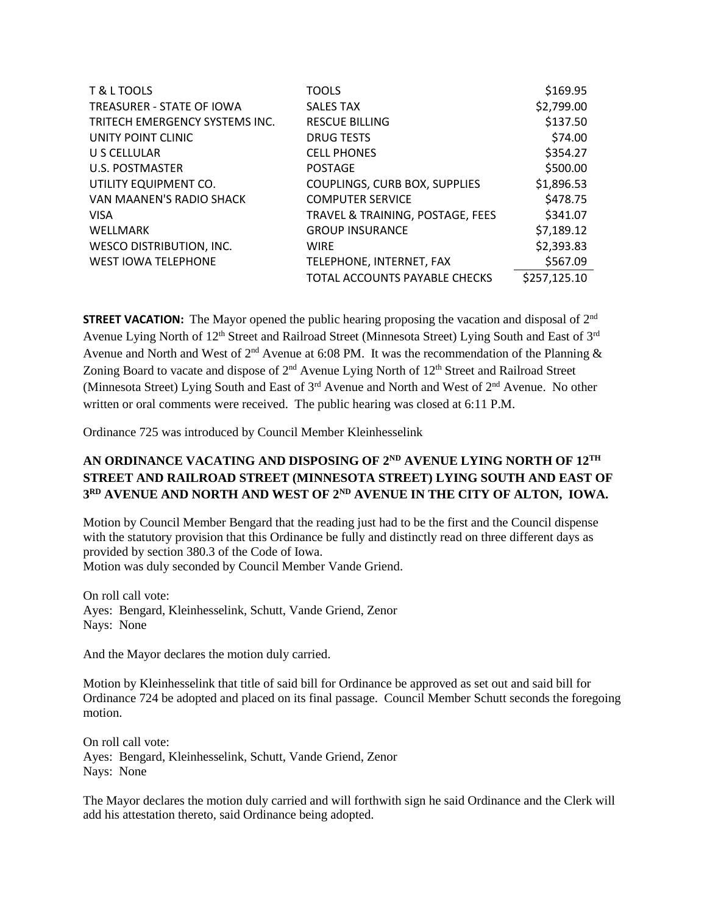| T & L TOOLS                     | <b>TOOLS</b>                     | \$169.95     |
|---------------------------------|----------------------------------|--------------|
| TREASURER - STATE OF IOWA       | <b>SALES TAX</b>                 | \$2,799.00   |
| TRITECH EMERGENCY SYSTEMS INC.  | <b>RESCUE BILLING</b>            | \$137.50     |
| UNITY POINT CLINIC              | <b>DRUG TESTS</b>                | \$74.00      |
| U S CELLULAR                    | <b>CELL PHONES</b>               | \$354.27     |
| <b>U.S. POSTMASTER</b>          | <b>POSTAGE</b>                   | \$500.00     |
| UTILITY EQUIPMENT CO.           | COUPLINGS, CURB BOX, SUPPLIES    | \$1,896.53   |
| VAN MAANEN'S RADIO SHACK        | <b>COMPUTER SERVICE</b>          | \$478.75     |
| <b>VISA</b>                     | TRAVEL & TRAINING, POSTAGE, FEES | \$341.07     |
| <b>WELLMARK</b>                 | <b>GROUP INSURANCE</b>           | \$7,189.12   |
| <b>WESCO DISTRIBUTION, INC.</b> | <b>WIRE</b>                      | \$2,393.83   |
| <b>WEST IOWA TELEPHONE</b>      | TELEPHONE, INTERNET, FAX         | \$567.09     |
|                                 | TOTAL ACCOUNTS PAYABLE CHECKS    | \$257,125.10 |

**STREET VACATION:** The Mayor opened the public hearing proposing the vacation and disposal of 2<sup>nd</sup> Avenue Lying North of 12<sup>th</sup> Street and Railroad Street (Minnesota Street) Lying South and East of 3<sup>rd</sup> Avenue and North and West of  $2<sup>nd</sup>$  Avenue at 6:08 PM. It was the recommendation of the Planning  $\&$ Zoning Board to vacate and dispose of  $2<sup>nd</sup>$  Avenue Lying North of  $12<sup>th</sup>$  Street and Railroad Street (Minnesota Street) Lying South and East of 3rd Avenue and North and West of 2nd Avenue. No other written or oral comments were received. The public hearing was closed at 6:11 P.M.

Ordinance 725 was introduced by Council Member Kleinhesselink

# **AN ORDINANCE VACATING AND DISPOSING OF 2ND AVENUE LYING NORTH OF 12TH STREET AND RAILROAD STREET (MINNESOTA STREET) LYING SOUTH AND EAST OF 3 RD AVENUE AND NORTH AND WEST OF 2ND AVENUE IN THE CITY OF ALTON, IOWA.**

Motion by Council Member Bengard that the reading just had to be the first and the Council dispense with the statutory provision that this Ordinance be fully and distinctly read on three different days as provided by section 380.3 of the Code of Iowa. Motion was duly seconded by Council Member Vande Griend.

On roll call vote: Ayes: Bengard, Kleinhesselink, Schutt, Vande Griend, Zenor Nays: None

And the Mayor declares the motion duly carried.

Motion by Kleinhesselink that title of said bill for Ordinance be approved as set out and said bill for Ordinance 724 be adopted and placed on its final passage. Council Member Schutt seconds the foregoing motion.

On roll call vote: Ayes: Bengard, Kleinhesselink, Schutt, Vande Griend, Zenor Nays: None

The Mayor declares the motion duly carried and will forthwith sign he said Ordinance and the Clerk will add his attestation thereto, said Ordinance being adopted.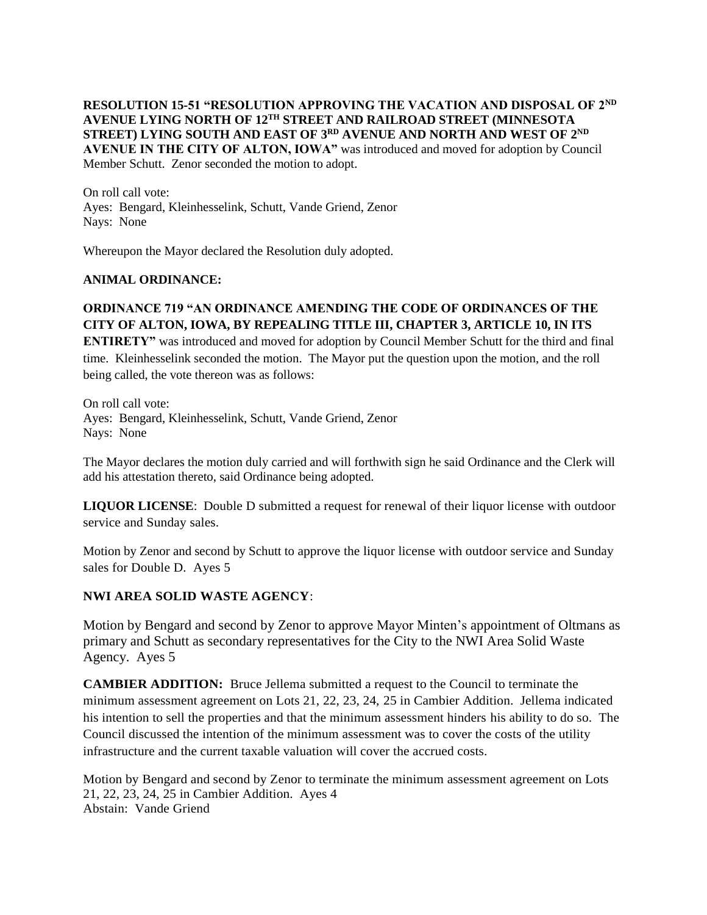**RESOLUTION 15-51 "RESOLUTION APPROVING THE VACATION AND DISPOSAL OF 2ND AVENUE LYING NORTH OF 12TH STREET AND RAILROAD STREET (MINNESOTA STREET) LYING SOUTH AND EAST OF 3RD AVENUE AND NORTH AND WEST OF 2ND AVENUE IN THE CITY OF ALTON, IOWA"** was introduced and moved for adoption by Council Member Schutt. Zenor seconded the motion to adopt.

On roll call vote: Ayes: Bengard, Kleinhesselink, Schutt, Vande Griend, Zenor Nays: None

Whereupon the Mayor declared the Resolution duly adopted.

#### **ANIMAL ORDINANCE:**

## **ORDINANCE 719 "AN ORDINANCE AMENDING THE CODE OF ORDINANCES OF THE CITY OF ALTON, IOWA, BY REPEALING TITLE III, CHAPTER 3, ARTICLE 10, IN ITS**

**ENTIRETY"** was introduced and moved for adoption by Council Member Schutt for the third and final time. Kleinhesselink seconded the motion. The Mayor put the question upon the motion, and the roll being called, the vote thereon was as follows:

On roll call vote: Ayes: Bengard, Kleinhesselink, Schutt, Vande Griend, Zenor Nays: None

The Mayor declares the motion duly carried and will forthwith sign he said Ordinance and the Clerk will add his attestation thereto, said Ordinance being adopted.

**LIQUOR LICENSE**: Double D submitted a request for renewal of their liquor license with outdoor service and Sunday sales.

Motion by Zenor and second by Schutt to approve the liquor license with outdoor service and Sunday sales for Double D. Ayes 5

#### **NWI AREA SOLID WASTE AGENCY**:

Motion by Bengard and second by Zenor to approve Mayor Minten's appointment of Oltmans as primary and Schutt as secondary representatives for the City to the NWI Area Solid Waste Agency. Ayes 5

**CAMBIER ADDITION:** Bruce Jellema submitted a request to the Council to terminate the minimum assessment agreement on Lots 21, 22, 23, 24, 25 in Cambier Addition. Jellema indicated his intention to sell the properties and that the minimum assessment hinders his ability to do so. The Council discussed the intention of the minimum assessment was to cover the costs of the utility infrastructure and the current taxable valuation will cover the accrued costs.

Motion by Bengard and second by Zenor to terminate the minimum assessment agreement on Lots 21, 22, 23, 24, 25 in Cambier Addition. Ayes 4 Abstain: Vande Griend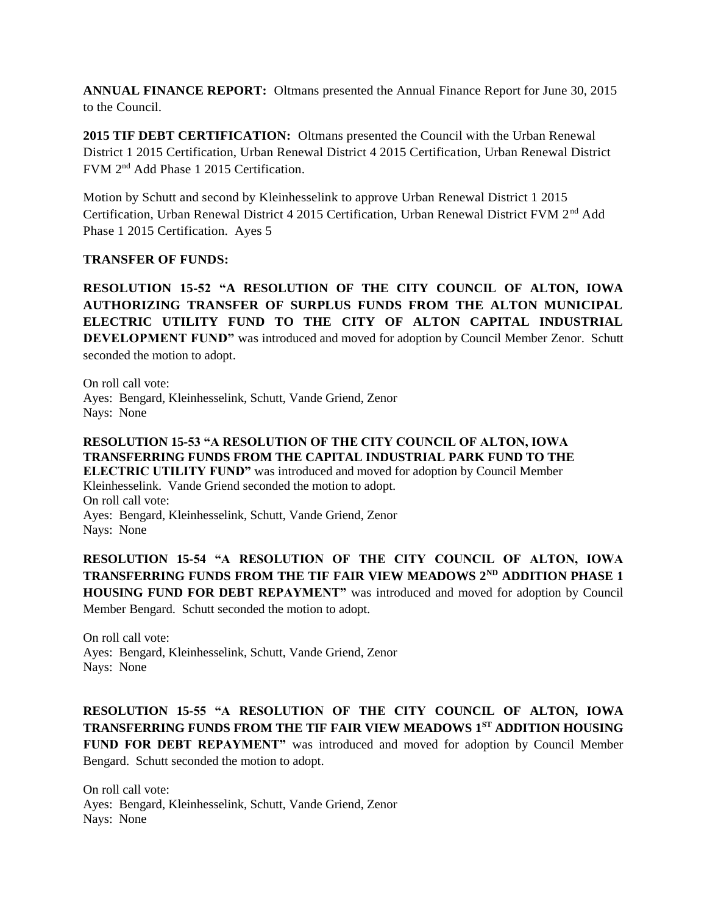**ANNUAL FINANCE REPORT:** Oltmans presented the Annual Finance Report for June 30, 2015 to the Council.

**2015 TIF DEBT CERTIFICATION:** Oltmans presented the Council with the Urban Renewal District 1 2015 Certification, Urban Renewal District 4 2015 Certification, Urban Renewal District FVM 2nd Add Phase 1 2015 Certification.

Motion by Schutt and second by Kleinhesselink to approve Urban Renewal District 1 2015 Certification, Urban Renewal District 4 2015 Certification, Urban Renewal District FVM 2<sup>nd</sup> Add Phase 1 2015 Certification. Ayes 5

#### **TRANSFER OF FUNDS:**

**RESOLUTION 15-52 "A RESOLUTION OF THE CITY COUNCIL OF ALTON, IOWA AUTHORIZING TRANSFER OF SURPLUS FUNDS FROM THE ALTON MUNICIPAL ELECTRIC UTILITY FUND TO THE CITY OF ALTON CAPITAL INDUSTRIAL DEVELOPMENT FUND"** was introduced and moved for adoption by Council Member Zenor. Schutt seconded the motion to adopt.

On roll call vote: Ayes: Bengard, Kleinhesselink, Schutt, Vande Griend, Zenor Nays: None

**RESOLUTION 15-53 "A RESOLUTION OF THE CITY COUNCIL OF ALTON, IOWA TRANSFERRING FUNDS FROM THE CAPITAL INDUSTRIAL PARK FUND TO THE ELECTRIC UTILITY FUND"** was introduced and moved for adoption by Council Member Kleinhesselink. Vande Griend seconded the motion to adopt. On roll call vote: Ayes: Bengard, Kleinhesselink, Schutt, Vande Griend, Zenor Nays: None

**RESOLUTION 15-54 "A RESOLUTION OF THE CITY COUNCIL OF ALTON, IOWA TRANSFERRING FUNDS FROM THE TIF FAIR VIEW MEADOWS 2ND ADDITION PHASE 1 HOUSING FUND FOR DEBT REPAYMENT"** was introduced and moved for adoption by Council Member Bengard. Schutt seconded the motion to adopt.

On roll call vote: Ayes: Bengard, Kleinhesselink, Schutt, Vande Griend, Zenor Nays: None

**RESOLUTION 15-55 "A RESOLUTION OF THE CITY COUNCIL OF ALTON, IOWA TRANSFERRING FUNDS FROM THE TIF FAIR VIEW MEADOWS 1ST ADDITION HOUSING FUND FOR DEBT REPAYMENT"** was introduced and moved for adoption by Council Member Bengard. Schutt seconded the motion to adopt.

On roll call vote: Ayes: Bengard, Kleinhesselink, Schutt, Vande Griend, Zenor Nays: None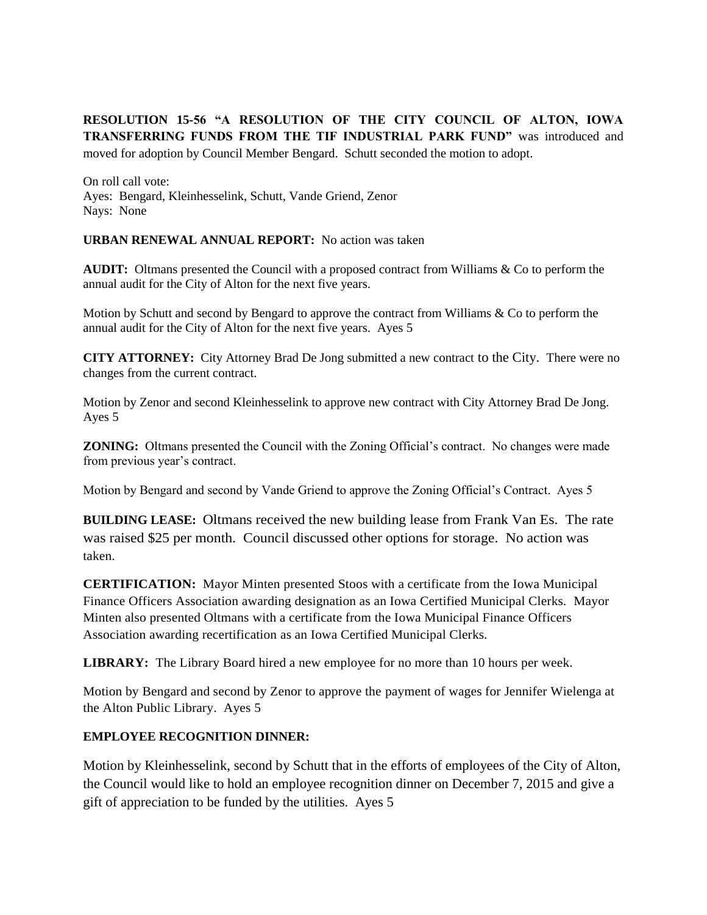### **RESOLUTION 15-56 "A RESOLUTION OF THE CITY COUNCIL OF ALTON, IOWA TRANSFERRING FUNDS FROM THE TIF INDUSTRIAL PARK FUND"** was introduced and moved for adoption by Council Member Bengard. Schutt seconded the motion to adopt.

On roll call vote: Ayes: Bengard, Kleinhesselink, Schutt, Vande Griend, Zenor Nays: None

#### **URBAN RENEWAL ANNUAL REPORT:** No action was taken

**AUDIT:** Oltmans presented the Council with a proposed contract from Williams & Co to perform the annual audit for the City of Alton for the next five years.

Motion by Schutt and second by Bengard to approve the contract from Williams & Co to perform the annual audit for the City of Alton for the next five years. Ayes 5

**CITY ATTORNEY:** City Attorney Brad De Jong submitted a new contract to the City. There were no changes from the current contract.

Motion by Zenor and second Kleinhesselink to approve new contract with City Attorney Brad De Jong. Ayes 5

**ZONING:** Oltmans presented the Council with the Zoning Official's contract. No changes were made from previous year's contract.

Motion by Bengard and second by Vande Griend to approve the Zoning Official's Contract. Ayes 5

**BUILDING LEASE:** Oltmans received the new building lease from Frank Van Es. The rate was raised \$25 per month. Council discussed other options for storage. No action was taken.

**CERTIFICATION:** Mayor Minten presented Stoos with a certificate from the Iowa Municipal Finance Officers Association awarding designation as an Iowa Certified Municipal Clerks. Mayor Minten also presented Oltmans with a certificate from the Iowa Municipal Finance Officers Association awarding recertification as an Iowa Certified Municipal Clerks.

**LIBRARY:** The Library Board hired a new employee for no more than 10 hours per week.

Motion by Bengard and second by Zenor to approve the payment of wages for Jennifer Wielenga at the Alton Public Library. Ayes 5

### **EMPLOYEE RECOGNITION DINNER:**

Motion by Kleinhesselink, second by Schutt that in the efforts of employees of the City of Alton, the Council would like to hold an employee recognition dinner on December 7, 2015 and give a gift of appreciation to be funded by the utilities. Ayes 5